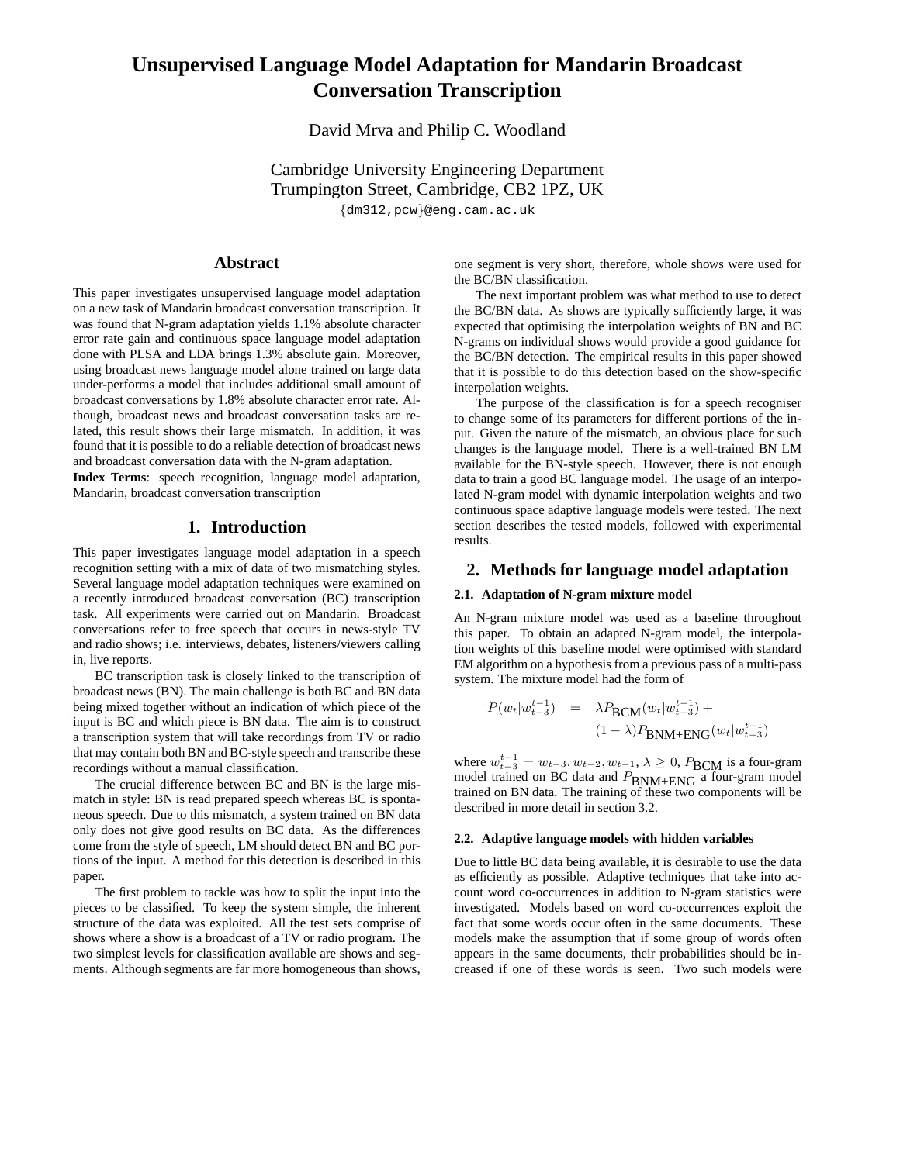# **Unsupervised Language Model Adaptation for Mandarin Broadcast Conversation Transcription**

David Mrva and Philip C. Woodland

Cambridge University Engineering Department Trumpington Street, Cambridge, CB2 1PZ, UK {dm312,pcw}@eng.cam.ac.uk

**Abstract**

This paper investigates unsupervised language model adaptation on a new task of Mandarin broadcast conversation transcription. It was found that N-gram adaptation yields 1.1% absolute character error rate gain and continuous space language model adaptation done with PLSA and LDA brings 1.3% absolute gain. Moreover, using broadcast news language model alone trained on large data under-performs a model that includes additional small amount of broadcast conversations by 1.8% absolute character error rate. Although, broadcast news and broadcast conversation tasks are related, this result shows their large mismatch. In addition, it was found that it is possible to do a reliable detection of broadcast news and broadcast conversation data with the N-gram adaptation.

**Index Terms**: speech recognition, language model adaptation, Mandarin, broadcast conversation transcription

# **1. Introduction**

This paper investigates language model adaptation in a speech recognition setting with a mix of data of two mismatching styles. Several language model adaptation techniques were examined on a recently introduced broadcast conversation (BC) transcription task. All experiments were carried out on Mandarin. Broadcast conversations refer to free speech that occurs in news-style TV and radio shows; i.e. interviews, debates, listeners/viewers calling in, live reports.

BC transcription task is closely linked to the transcription of broadcast news (BN). The main challenge is both BC and BN data being mixed together without an indication of which piece of the input is BC and which piece is BN data. The aim is to construct a transcription system that will take recordings from TV or radio that may contain both BN and BC-style speech and transcribe these recordings without a manual classification.

The crucial difference between BC and BN is the large mismatch in style: BN is read prepared speech whereas BC is spontaneous speech. Due to this mismatch, a system trained on BN data only does not give good results on BC data. As the differences come from the style of speech, LM should detect BN and BC portions of the input. A method for this detection is described in this paper.

The first problem to tackle was how to split the input into the pieces to be classified. To keep the system simple, the inherent structure of the data was exploited. All the test sets comprise of shows where a show is a broadcast of a TV or radio program. The two simplest levels for classification available are shows and segments. Although segments are far more homogeneous than shows,

one segment is very short, therefore, whole shows were used for the BC/BN classification.

The next important problem was what method to use to detect the BC/BN data. As shows are typically sufficiently large, it was expected that optimising the interpolation weights of BN and BC N-grams on individual shows would provide a good guidance for the BC/BN detection. The empirical results in this paper showed that it is possible to do this detection based on the show-specific interpolation weights.

The purpose of the classification is for a speech recogniser to change some of its parameters for different portions of the input. Given the nature of the mismatch, an obvious place for such changes is the language model. There is a well-trained BN LM available for the BN-style speech. However, there is not enough data to train a good BC language model. The usage of an interpolated N-gram model with dynamic interpolation weights and two continuous space adaptive language models were tested. The next section describes the tested models, followed with experimental results.

# **2. Methods for language model adaptation**

## **2.1. Adaptation of N-gram mixture model**

An N-gram mixture model was used as a baseline throughout this paper. To obtain an adapted N-gram model, the interpolation weights of this baseline model were optimised with standard EM algorithm on a hypothesis from a previous pass of a multi-pass system. The mixture model had the form of

$$
P(w_t|w_{t-3}^{t-1}) = \lambda P_{\text{BCM}}(w_t|w_{t-3}^{t-1}) +
$$
  

$$
(1 - \lambda)P_{\text{BNM} + \text{ENG}}(w_t|w_{t-3}^{t-1})
$$

where  $w_{t-3}^{t-1} = w_{t-3}, w_{t-2}, w_{t-1}, \lambda \ge 0$ ,  $P_{\text{BCM}}$  is a four-gram model trained on BC data and  $P_{\text{BNM+ENG}}$  a four-gram model trained on BN data. The training of these two components will be described in more detail in section 3.2.

## **2.2. Adaptive language models with hidden variables**

Due to little BC data being available, it is desirable to use the data as efficiently as possible. Adaptive techniques that take into account word co-occurrences in addition to N-gram statistics were investigated. Models based on word co-occurrences exploit the fact that some words occur often in the same documents. These models make the assumption that if some group of words often appears in the same documents, their probabilities should be increased if one of these words is seen. Two such models were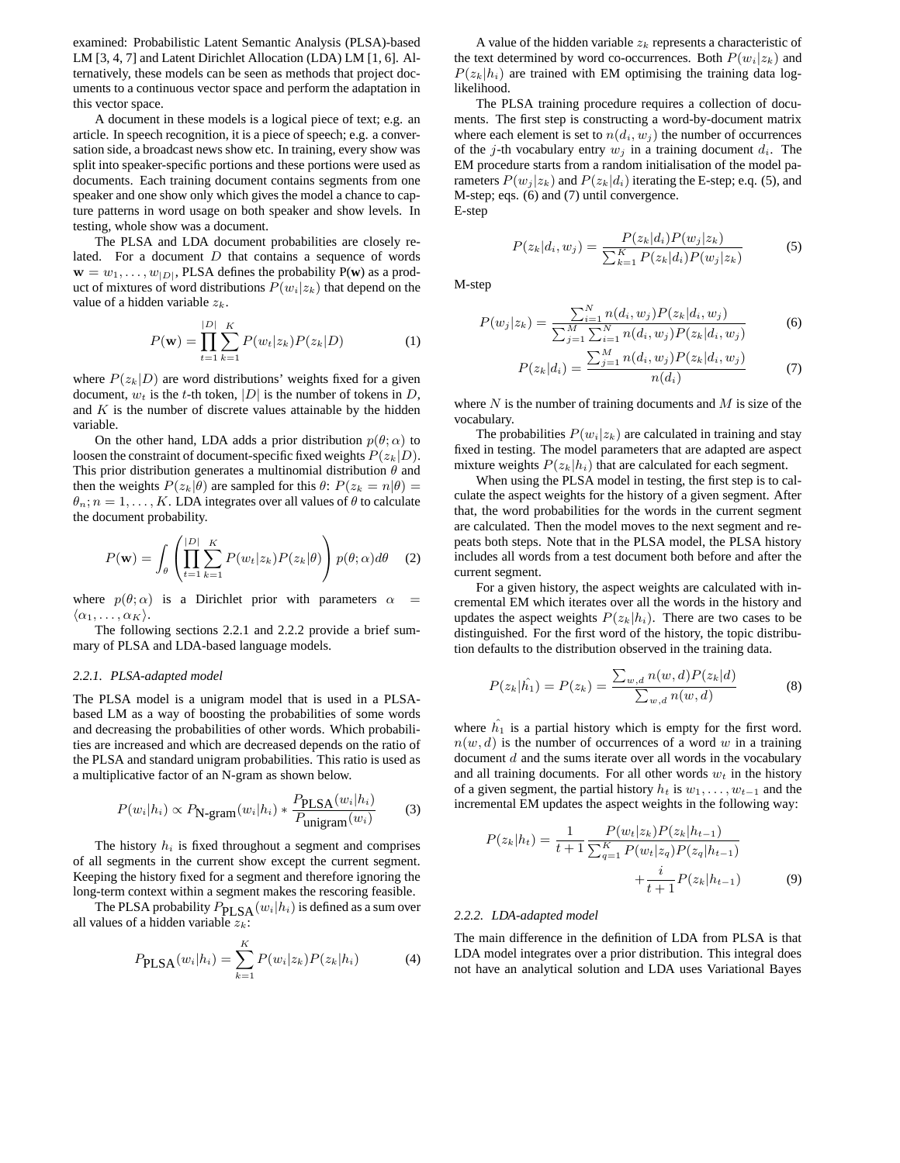examined: Probabilistic Latent Semantic Analysis (PLSA)-based LM [3, 4, 7] and Latent Dirichlet Allocation (LDA) LM [1, 6]. Alternatively, these models can be seen as methods that project documents to a continuous vector space and perform the adaptation in this vector space.

A document in these models is a logical piece of text; e.g. an article. In speech recognition, it is a piece of speech; e.g. a conversation side, a broadcast news show etc. In training, every show was split into speaker-specific portions and these portions were used as documents. Each training document contains segments from one speaker and one show only which gives the model a chance to capture patterns in word usage on both speaker and show levels. In testing, whole show was a document.

The PLSA and LDA document probabilities are closely related. For a document  $D$  that contains a sequence of words  $\mathbf{w} = w_1, \dots, w_{|D|}$ , PLSA defines the probability P(**w**) as a product of mixtures of word distributions  $P(w_i|z_k)$  that depend on the value of a hidden variable  $z_k$ .

$$
P(\mathbf{w}) = \prod_{t=1}^{|D|} \sum_{k=1}^{K} P(w_t | z_k) P(z_k | D)
$$
 (1)

where  $P(z_k|D)$  are word distributions' weights fixed for a given document,  $w_t$  is the t-th token, |D| is the number of tokens in D, and  $K$  is the number of discrete values attainable by the hidden variable.

On the other hand, LDA adds a prior distribution  $p(\theta; \alpha)$  to loosen the constraint of document-specific fixed weights  $P(z_k|D)$ . This prior distribution generates a multinomial distribution  $\theta$  and then the weights  $P(z_k|\theta)$  are sampled for this  $\theta: P(z_k = n|\theta) =$  $\theta_n$ ;  $n = 1, \ldots, K$ . LDA integrates over all values of  $\theta$  to calculate the document probability.

$$
P(\mathbf{w}) = \int_{\theta} \left( \prod_{t=1}^{|D|} \sum_{k=1}^{K} P(w_t | z_k) P(z_k | \theta) \right) p(\theta; \alpha) d\theta \quad (2)
$$

where  $p(\theta; \alpha)$  is a Dirichlet prior with parameters  $\alpha$  =  $\langle \alpha_1, \ldots, \alpha_K \rangle$ .

The following sections 2.2.1 and 2.2.2 provide a brief summary of PLSA and LDA-based language models.

#### *2.2.1. PLSA-adapted model*

The PLSA model is a unigram model that is used in a PLSAbased LM as a way of boosting the probabilities of some words and decreasing the probabilities of other words. Which probabilities are increased and which are decreased depends on the ratio of the PLSA and standard unigram probabilities. This ratio is used as a multiplicative factor of an N-gram as shown below.

$$
P(w_i|h_i) \propto P_{\text{N-gram}}(w_i|h_i) * \frac{P_{\text{PLSA}}(w_i|h_i)}{P_{\text{unigram}}(w_i)} \tag{3}
$$

The history  $h_i$  is fixed throughout a segment and comprises of all segments in the current show except the current segment. Keeping the history fixed for a segment and therefore ignoring the long-term context within a segment makes the rescoring feasible.

The PLSA probability  $P_{\text{PLSA}}(w_i|h_i)$  is defined as a sum over all values of a hidden variable  $z_k$ :

$$
P_{\rm PLSA}(w_i|h_i) = \sum_{k=1}^{K} P(w_i|z_k)P(z_k|h_i)
$$
 (4)

A value of the hidden variable  $z_k$  represents a characteristic of the text determined by word co-occurrences. Both  $P(w_i|z_k)$  and  $P(z_k|h_i)$  are trained with EM optimising the training data loglikelihood.

The PLSA training procedure requires a collection of documents. The first step is constructing a word-by-document matrix where each element is set to  $n(d_i, w_j)$  the number of occurrences of the j-th vocabulary entry  $w_i$  in a training document  $d_i$ . The EM procedure starts from a random initialisation of the model parameters  $P(w_j | z_k)$  and  $P(z_k | d_i)$  iterating the E-step; e.q. (5), and M-step; eqs. (6) and (7) until convergence. E-step

$$
P(z_k|d_i, w_j) = \frac{P(z_k|d_i)P(w_j|z_k)}{\sum_{k=1}^{K} P(z_k|d_i)P(w_j|z_k)}
$$
(5)

M-step

$$
P(w_j|z_k) = \frac{\sum_{i=1}^{N} n(d_i, w_j) P(z_k|d_i, w_j)}{\sum_{j=1}^{M} \sum_{i=1}^{N} n(d_i, w_j) P(z_k|d_i, w_j)}
$$
(6)

$$
P(z_k|d_i) = \frac{\sum_{j=1}^{M} n(d_i, w_j) P(z_k|d_i, w_j)}{n(d_i)} \tag{7}
$$

where  $N$  is the number of training documents and  $M$  is size of the vocabulary.

The probabilities  $P(w_i|z_k)$  are calculated in training and stay fixed in testing. The model parameters that are adapted are aspect mixture weights  $P(z_k|h_i)$  that are calculated for each segment.

When using the PLSA model in testing, the first step is to calculate the aspect weights for the history of a given segment. After that, the word probabilities for the words in the current segment are calculated. Then the model moves to the next segment and repeats both steps. Note that in the PLSA model, the PLSA history includes all words from a test document both before and after the current segment.

For a given history, the aspect weights are calculated with incremental EM which iterates over all the words in the history and updates the aspect weights  $P(z_k|h_i)$ . There are two cases to be distinguished. For the first word of the history, the topic distribution defaults to the distribution observed in the training data.

$$
P(z_k|\hat{h_1}) = P(z_k) = \frac{\sum_{w,d} n(w,d)P(z_k|d)}{\sum_{w,d} n(w,d)} \tag{8}
$$

where  $h_1$  is a partial history which is empty for the first word.  $n(w, d)$  is the number of occurrences of a word w in a training document  $d$  and the sums iterate over all words in the vocabulary and all training documents. For all other words  $w_t$  in the history of a given segment, the partial history  $h_t$  is  $w_1, \ldots, w_{t-1}$  and the incremental EM updates the aspect weights in the following way:

$$
P(z_k|h_t) = \frac{1}{t+1} \frac{P(w_t|z_k)P(z_k|h_{t-1})}{\sum_{q=1}^K P(w_t|z_q)P(z_q|h_{t-1})} + \frac{i}{t+1}P(z_k|h_{t-1})
$$
(9)

#### *2.2.2. LDA-adapted model*

The main difference in the definition of LDA from PLSA is that LDA model integrates over a prior distribution. This integral does not have an analytical solution and LDA uses Variational Bayes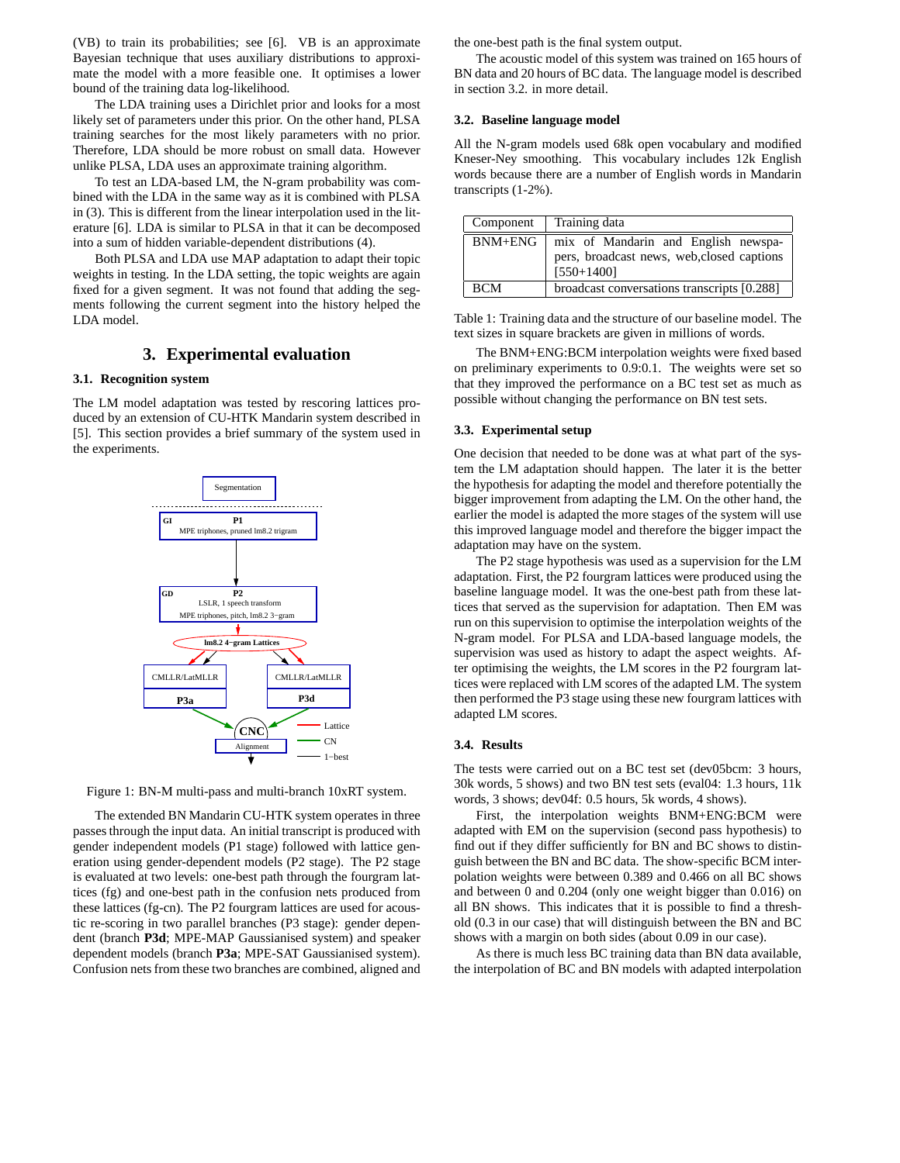(VB) to train its probabilities; see [6]. VB is an approximate Bayesian technique that uses auxiliary distributions to approximate the model with a more feasible one. It optimises a lower bound of the training data log-likelihood.

The LDA training uses a Dirichlet prior and looks for a most likely set of parameters under this prior. On the other hand, PLSA training searches for the most likely parameters with no prior. Therefore, LDA should be more robust on small data. However unlike PLSA, LDA uses an approximate training algorithm.

To test an LDA-based LM, the N-gram probability was combined with the LDA in the same way as it is combined with PLSA in (3). This is different from the linear interpolation used in the literature [6]. LDA is similar to PLSA in that it can be decomposed into a sum of hidden variable-dependent distributions (4).

Both PLSA and LDA use MAP adaptation to adapt their topic weights in testing. In the LDA setting, the topic weights are again fixed for a given segment. It was not found that adding the segments following the current segment into the history helped the LDA model.

# **3. Experimental evaluation**

### **3.1. Recognition system**

The LM model adaptation was tested by rescoring lattices produced by an extension of CU-HTK Mandarin system described in [5]. This section provides a brief summary of the system used in the experiments.





The extended BN Mandarin CU-HTK system operates in three passesthrough the input data. An initial transcript is produced with gender independent models (P1 stage) followed with lattice generation using gender-dependent models (P2 stage). The P2 stage is evaluated at two levels: one-best path through the fourgram lattices (fg) and one-best path in the confusion nets produced from these lattices (fg-cn). The P2 fourgram lattices are used for acoustic re-scoring in two parallel branches (P3 stage): gender dependent (branch **P3d**; MPE-MAP Gaussianised system) and speaker dependent models (branch **P3a**; MPE-SAT Gaussianised system). Confusion nets from these two branches are combined, aligned and the one-best path is the final system output.

The acoustic model of this system was trained on 165 hours of BN data and 20 hours of BC data. The language model is described in section 3.2. in more detail.

#### **3.2. Baseline language model**

All the N-gram models used 68k open vocabulary and modified Kneser-Ney smoothing. This vocabulary includes 12k English words because there are a number of English words in Mandarin transcripts (1-2%).

| Component   | Training data                                                                                     |  |
|-------------|---------------------------------------------------------------------------------------------------|--|
| $BNM + ENG$ | mix of Mandarin and English newspa-<br>pers, broadcast news, web, closed captions<br>$[550+1400]$ |  |
| <b>BCM</b>  | broadcast conversations transcripts [0.288]                                                       |  |

Table 1: Training data and the structure of our baseline model. The text sizes in square brackets are given in millions of words.

The BNM+ENG:BCM interpolation weights were fixed based on preliminary experiments to 0.9:0.1. The weights were set so that they improved the performance on a BC test set as much as possible without changing the performance on BN test sets.

#### **3.3. Experimental setup**

One decision that needed to be done was at what part of the system the LM adaptation should happen. The later it is the better the hypothesis for adapting the model and therefore potentially the bigger improvement from adapting the LM. On the other hand, the earlier the model is adapted the more stages of the system will use this improved language model and therefore the bigger impact the adaptation may have on the system.

The P2 stage hypothesis was used as a supervision for the LM adaptation. First, the P2 fourgram lattices were produced using the baseline language model. It was the one-best path from these lattices that served as the supervision for adaptation. Then EM was run on this supervision to optimise the interpolation weights of the N-gram model. For PLSA and LDA-based language models, the supervision was used as history to adapt the aspect weights. After optimising the weights, the LM scores in the P2 fourgram lattices were replaced with LM scores of the adapted LM. The system then performed the P3 stage using these new fourgram lattices with adapted LM scores.

#### **3.4. Results**

The tests were carried out on a BC test set (dev05bcm: 3 hours, 30k words, 5 shows) and two BN test sets (eval04: 1.3 hours, 11k words, 3 shows; dev04f: 0.5 hours, 5k words, 4 shows).

First, the interpolation weights BNM+ENG:BCM were adapted with EM on the supervision (second pass hypothesis) to find out if they differ sufficiently for BN and BC shows to distinguish between the BN and BC data. The show-specific BCM interpolation weights were between 0.389 and 0.466 on all BC shows and between 0 and 0.204 (only one weight bigger than 0.016) on all BN shows. This indicates that it is possible to find a threshold (0.3 in our case) that will distinguish between the BN and BC shows with a margin on both sides (about 0.09 in our case).

As there is much less BC training data than BN data available, the interpolation of BC and BN models with adapted interpolation